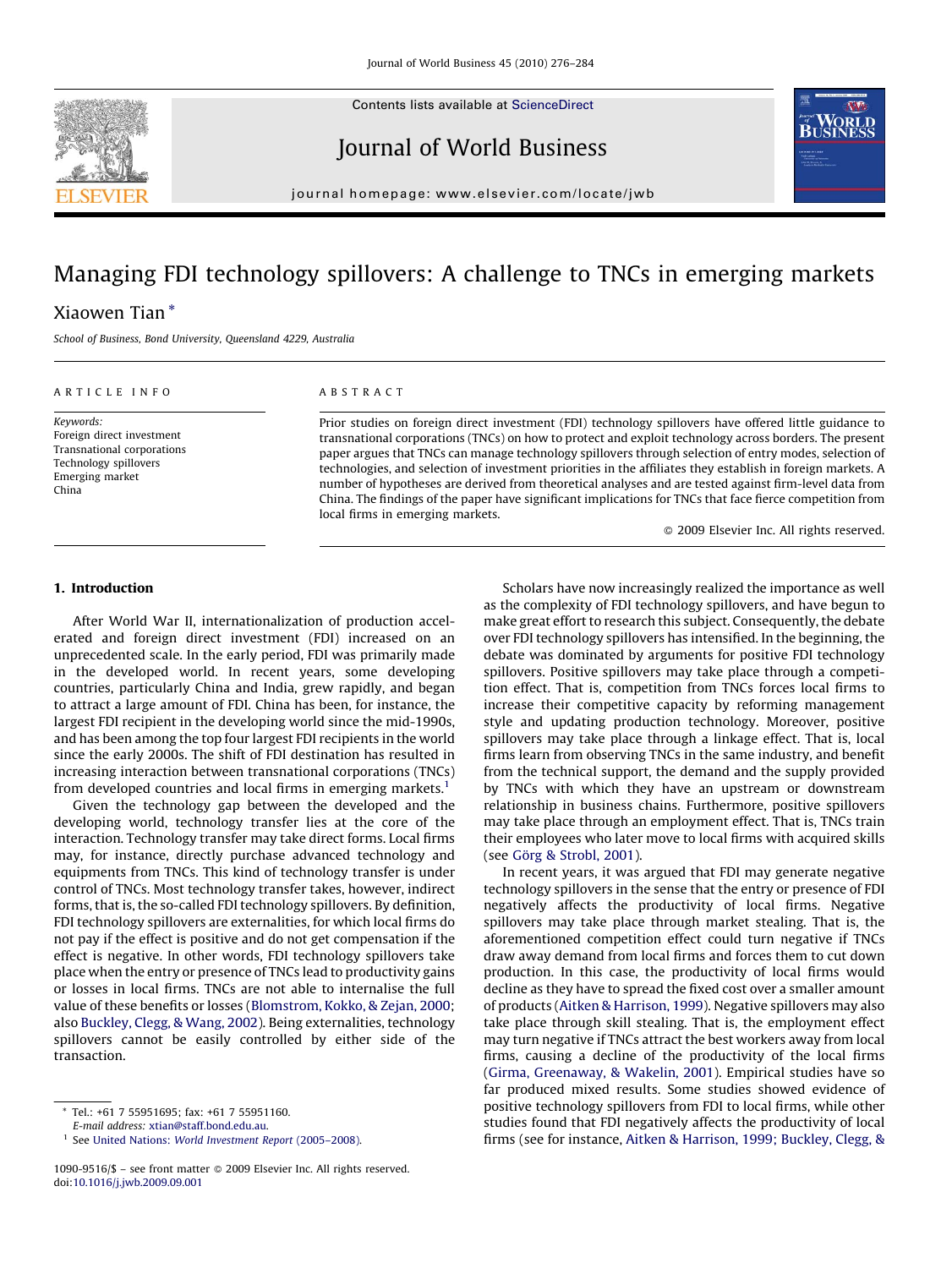Contents lists available at [ScienceDirect](http://www.sciencedirect.com/science/journal/10909516)



Journal of World Business



journal homepage: www.el sevier.com/locate/jwb

# Managing FDI technology spillovers: A challenge to TNCs in emerging markets

# Xiaowen Tian \*

School of Business, Bond University, Queensland 4229, Australia

#### ARTICLE INFO

Keywords: Foreign direct investment Transnational corporations Technology spillovers Emerging market China

## ABSTRACT

Prior studies on foreign direct investment (FDI) technology spillovers have offered little guidance to transnational corporations (TNCs) on how to protect and exploit technology across borders. The present paper argues that TNCs can manage technology spillovers through selection of entry modes, selection of technologies, and selection of investment priorities in the affiliates they establish in foreign markets. A number of hypotheses are derived from theoretical analyses and are tested against firm-level data from China. The findings of the paper have significant implications for TNCs that face fierce competition from local firms in emerging markets.

 $\odot$  2009 Elsevier Inc. All rights reserved.

### 1. Introduction

After World War II, internationalization of production accelerated and foreign direct investment (FDI) increased on an unprecedented scale. In the early period, FDI was primarily made in the developed world. In recent years, some developing countries, particularly China and India, grew rapidly, and began to attract a large amount of FDI. China has been, for instance, the largest FDI recipient in the developing world since the mid-1990s, and has been among the top four largest FDI recipients in the world since the early 2000s. The shift of FDI destination has resulted in increasing interaction between transnational corporations (TNCs) from developed countries and local firms in emerging markets. $<sup>1</sup>$ </sup>

Given the technology gap between the developed and the developing world, technology transfer lies at the core of the interaction. Technology transfer may take direct forms. Local firms may, for instance, directly purchase advanced technology and equipments from TNCs. This kind of technology transfer is under control of TNCs. Most technology transfer takes, however, indirect forms, that is, the so-called FDI technology spillovers. By definition, FDI technology spillovers are externalities, for which local firms do not pay if the effect is positive and do not get compensation if the effect is negative. In other words, FDI technology spillovers take place when the entry or presence of TNCs lead to productivity gains or losses in local firms. TNCs are not able to internalise the full value of these benefits or losses [\(Blomstrom, Kokko, & Zejan, 2000;](#page--1-0) also [Buckley, Clegg, & Wang, 2002](#page--1-0)). Being externalities, technology spillovers cannot be easily controlled by either side of the transaction.

E-mail address: [xtian@staff.bond.edu.au.](mailto:xtian@staff.bond.edu.au)

<sup>1</sup> See United Nations: [World Investment Report](#page--1-0) (2005–2008).

Scholars have now increasingly realized the importance as well as the complexity of FDI technology spillovers, and have begun to make great effort to research this subject. Consequently, the debate over FDI technology spillovers has intensified. In the beginning, the debate was dominated by arguments for positive FDI technology spillovers. Positive spillovers may take place through a competition effect. That is, competition from TNCs forces local firms to increase their competitive capacity by reforming management style and updating production technology. Moreover, positive spillovers may take place through a linkage effect. That is, local firms learn from observing TNCs in the same industry, and benefit from the technical support, the demand and the supply provided by TNCs with which they have an upstream or downstream relationship in business chains. Furthermore, positive spillovers may take place through an employment effect. That is, TNCs train their employees who later move to local firms with acquired skills (see Gö[rg & Strobl, 2001](#page--1-0)).

In recent years, it was argued that FDI may generate negative technology spillovers in the sense that the entry or presence of FDI negatively affects the productivity of local firms. Negative spillovers may take place through market stealing. That is, the aforementioned competition effect could turn negative if TNCs draw away demand from local firms and forces them to cut down production. In this case, the productivity of local firms would decline as they have to spread the fixed cost over a smaller amount of products [\(Aitken & Harrison, 1999](#page--1-0)). Negative spillovers may also take place through skill stealing. That is, the employment effect may turn negative if TNCs attract the best workers away from local firms, causing a decline of the productivity of the local firms ([Girma, Greenaway, & Wakelin, 2001\)](#page--1-0). Empirical studies have so far produced mixed results. Some studies showed evidence of positive technology spillovers from FDI to local firms, while other studies found that FDI negatively affects the productivity of local firms (see for instance, [Aitken & Harrison, 1999; Buckley, Clegg, &](#page--1-0)

<sup>\*</sup> Tel.: +61 7 55951695; fax: +61 7 55951160.

<sup>1090-9516/\$ -</sup> see front matter @ 2009 Elsevier Inc. All rights reserved. doi:[10.1016/j.jwb.2009.09.001](http://dx.doi.org/10.1016/j.jwb.2009.09.001)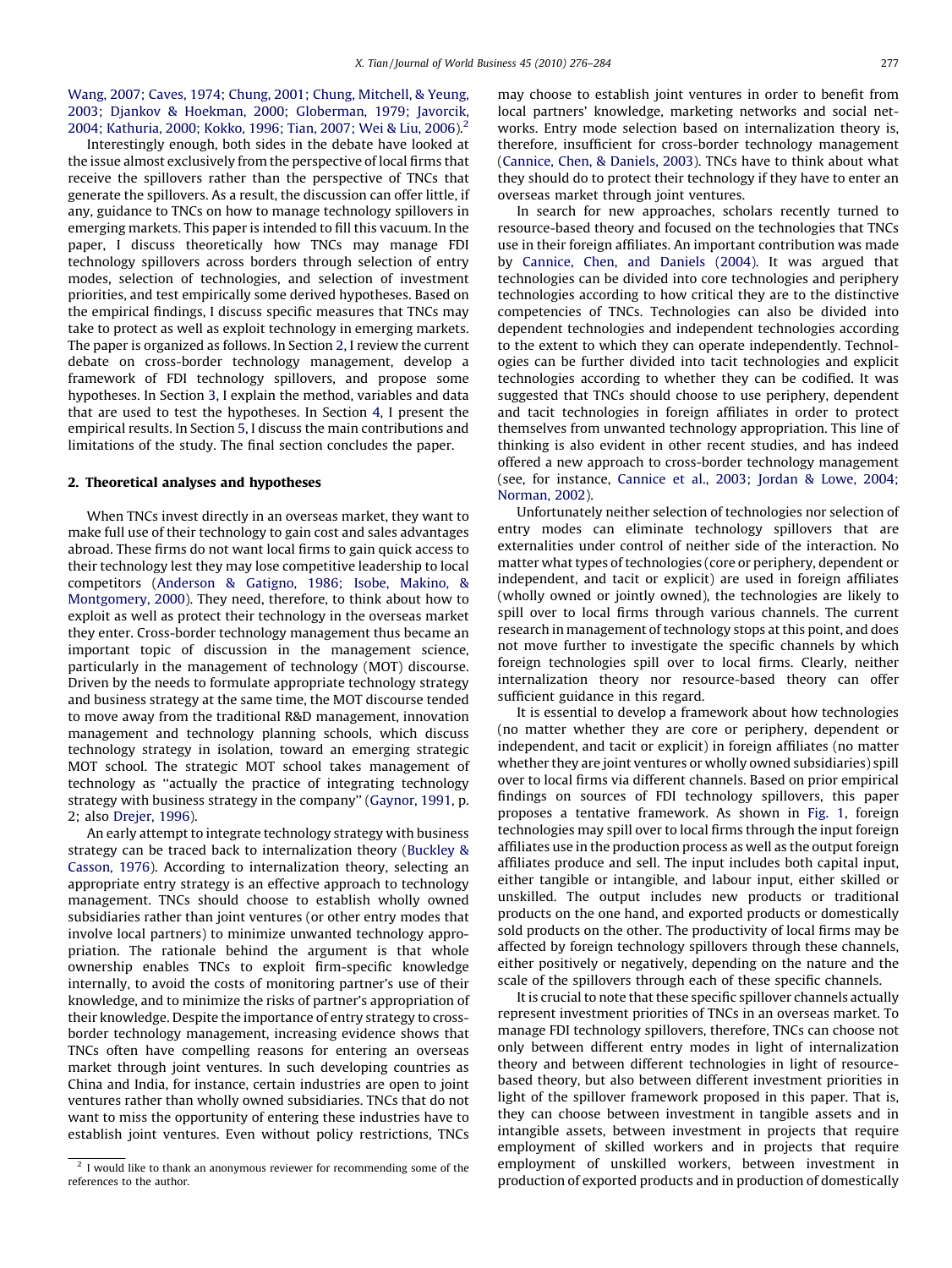[Wang, 2007; Caves, 1974; Chung, 2001; Chung, Mitchell, & Yeung,](#page--1-0) [2003; Djankov & Hoekman, 2000; Globerman, 1979; Javorcik,](#page--1-0) [2004; Kathuria, 2000; Kokko, 1996; Tian, 2007; Wei & Liu, 2006\)](#page--1-0).2

Interestingly enough, both sides in the debate have looked at the issue almost exclusively from the perspective of local firms that receive the spillovers rather than the perspective of TNCs that generate the spillovers. As a result, the discussion can offer little, if any, guidance to TNCs on how to manage technology spillovers in emerging markets. This paper is intended to fill this vacuum. In the paper, I discuss theoretically how TNCs may manage FDI technology spillovers across borders through selection of entry modes, selection of technologies, and selection of investment priorities, and test empirically some derived hypotheses. Based on the empirical findings, I discuss specific measures that TNCs may take to protect as well as exploit technology in emerging markets. The paper is organized as follows. In Section 2, I review the current debate on cross-border technology management, develop a framework of FDI technology spillovers, and propose some hypotheses. In Section [3](#page--1-0), I explain the method, variables and data that are used to test the hypotheses. In Section [4,](#page--1-0) I present the empirical results. In Section [5,](#page--1-0) I discuss the main contributions and limitations of the study. The final section concludes the paper.

#### 2. Theoretical analyses and hypotheses

When TNCs invest directly in an overseas market, they want to make full use of their technology to gain cost and sales advantages abroad. These firms do not want local firms to gain quick access to their technology lest they may lose competitive leadership to local competitors [\(Anderson & Gatigno, 1986; Isobe, Makino, &](#page--1-0) [Montgomery, 2000\)](#page--1-0). They need, therefore, to think about how to exploit as well as protect their technology in the overseas market they enter. Cross-border technology management thus became an important topic of discussion in the management science, particularly in the management of technology (MOT) discourse. Driven by the needs to formulate appropriate technology strategy and business strategy at the same time, the MOT discourse tended to move away from the traditional R&D management, innovation management and technology planning schools, which discuss technology strategy in isolation, toward an emerging strategic MOT school. The strategic MOT school takes management of technology as ''actually the practice of integrating technology strategy with business strategy in the company'' ([Gaynor, 1991,](#page--1-0) p. 2; also [Drejer, 1996\)](#page--1-0).

An early attempt to integrate technology strategy with business strategy can be traced back to internalization theory ([Buckley &](#page--1-0) [Casson, 1976\)](#page--1-0). According to internalization theory, selecting an appropriate entry strategy is an effective approach to technology management. TNCs should choose to establish wholly owned subsidiaries rather than joint ventures (or other entry modes that involve local partners) to minimize unwanted technology appropriation. The rationale behind the argument is that whole ownership enables TNCs to exploit firm-specific knowledge internally, to avoid the costs of monitoring partner's use of their knowledge, and to minimize the risks of partner's appropriation of their knowledge. Despite the importance of entry strategy to crossborder technology management, increasing evidence shows that TNCs often have compelling reasons for entering an overseas market through joint ventures. In such developing countries as China and India, for instance, certain industries are open to joint ventures rather than wholly owned subsidiaries. TNCs that do not want to miss the opportunity of entering these industries have to establish joint ventures. Even without policy restrictions, TNCs may choose to establish joint ventures in order to benefit from local partners' knowledge, marketing networks and social networks. Entry mode selection based on internalization theory is, therefore, insufficient for cross-border technology management ([Cannice, Chen, & Daniels, 2003\)](#page--1-0). TNCs have to think about what they should do to protect their technology if they have to enter an overseas market through joint ventures.

In search for new approaches, scholars recently turned to resource-based theory and focused on the technologies that TNCs use in their foreign affiliates. An important contribution was made by [Cannice, Chen, and Daniels \(2004\).](#page--1-0) It was argued that technologies can be divided into core technologies and periphery technologies according to how critical they are to the distinctive competencies of TNCs. Technologies can also be divided into dependent technologies and independent technologies according to the extent to which they can operate independently. Technologies can be further divided into tacit technologies and explicit technologies according to whether they can be codified. It was suggested that TNCs should choose to use periphery, dependent and tacit technologies in foreign affiliates in order to protect themselves from unwanted technology appropriation. This line of thinking is also evident in other recent studies, and has indeed offered a new approach to cross-border technology management (see, for instance, [Cannice et al., 2003; Jordan & Lowe, 2004;](#page--1-0) [Norman, 2002](#page--1-0)).

Unfortunately neither selection of technologies nor selection of entry modes can eliminate technology spillovers that are externalities under control of neither side of the interaction. No matter what types of technologies (core or periphery, dependent or independent, and tacit or explicit) are used in foreign affiliates (wholly owned or jointly owned), the technologies are likely to spill over to local firms through various channels. The current research in management of technology stops at this point, and does not move further to investigate the specific channels by which foreign technologies spill over to local firms. Clearly, neither internalization theory nor resource-based theory can offer sufficient guidance in this regard.

It is essential to develop a framework about how technologies (no matter whether they are core or periphery, dependent or independent, and tacit or explicit) in foreign affiliates (no matter whether they are joint ventures or wholly owned subsidiaries) spill over to local firms via different channels. Based on prior empirical findings on sources of FDI technology spillovers, this paper proposes a tentative framework. As shown in [Fig. 1,](#page--1-0) foreign technologies may spill over to local firms through the input foreign affiliates use in the production process as well as the output foreign affiliates produce and sell. The input includes both capital input, either tangible or intangible, and labour input, either skilled or unskilled. The output includes new products or traditional products on the one hand, and exported products or domestically sold products on the other. The productivity of local firms may be affected by foreign technology spillovers through these channels, either positively or negatively, depending on the nature and the scale of the spillovers through each of these specific channels.

It is crucial to note that these specific spillover channels actually represent investment priorities of TNCs in an overseas market. To manage FDI technology spillovers, therefore, TNCs can choose not only between different entry modes in light of internalization theory and between different technologies in light of resourcebased theory, but also between different investment priorities in light of the spillover framework proposed in this paper. That is, they can choose between investment in tangible assets and in intangible assets, between investment in projects that require employment of skilled workers and in projects that require employment of unskilled workers, between investment in production of exported products and in production of domestically

 $2$  I would like to thank an anonymous reviewer for recommending some of the references to the author.